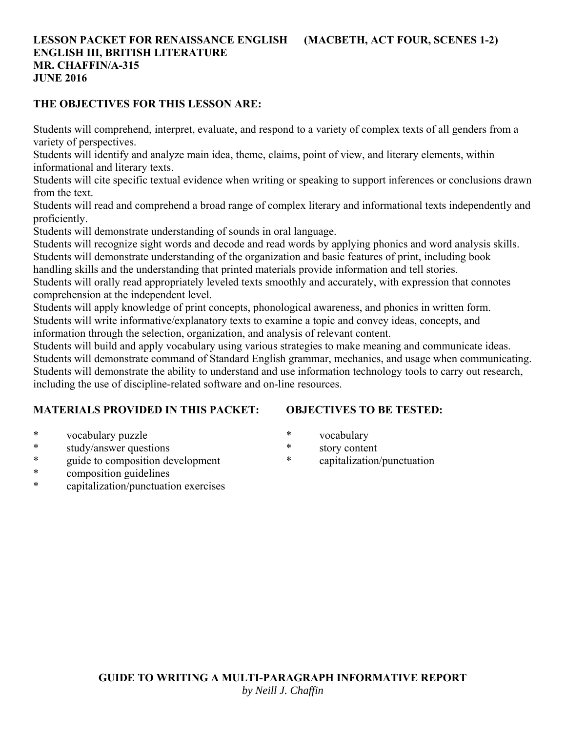## **LESSON PACKET FOR RENAISSANCE ENGLISH (MACBETH, ACT FOUR, SCENES 1-2) ENGLISH III, BRITISH LITERATURE MR. CHAFFIN/A-315 JUNE 2016**

## **THE OBJECTIVES FOR THIS LESSON ARE:**

Students will comprehend, interpret, evaluate, and respond to a variety of complex texts of all genders from a variety of perspectives.

Students will identify and analyze main idea, theme, claims, point of view, and literary elements, within informational and literary texts.

Students will cite specific textual evidence when writing or speaking to support inferences or conclusions drawn from the text.

Students will read and comprehend a broad range of complex literary and informational texts independently and proficiently.

Students will demonstrate understanding of sounds in oral language.

Students will recognize sight words and decode and read words by applying phonics and word analysis skills. Students will demonstrate understanding of the organization and basic features of print, including book

handling skills and the understanding that printed materials provide information and tell stories.

Students will orally read appropriately leveled texts smoothly and accurately, with expression that connotes comprehension at the independent level.

Students will apply knowledge of print concepts, phonological awareness, and phonics in written form. Students will write informative/explanatory texts to examine a topic and convey ideas, concepts, and information through the selection, organization, and analysis of relevant content.

Students will build and apply vocabulary using various strategies to make meaning and communicate ideas. Students will demonstrate command of Standard English grammar, mechanics, and usage when communicating. Students will demonstrate the ability to understand and use information technology tools to carry out research, including the use of discipline-related software and on-line resources.

## **MATERIALS PROVIDED IN THIS PACKET:**

# **OBJECTIVES TO BE TESTED:**

- \* vocabulary puzzle
- \* study/answer questions
- \* guide to composition development
- \* composition guidelines
- \* capitalization/punctuation exercises
- \* vocabulary
- \* story content
- \* capitalization/punctuation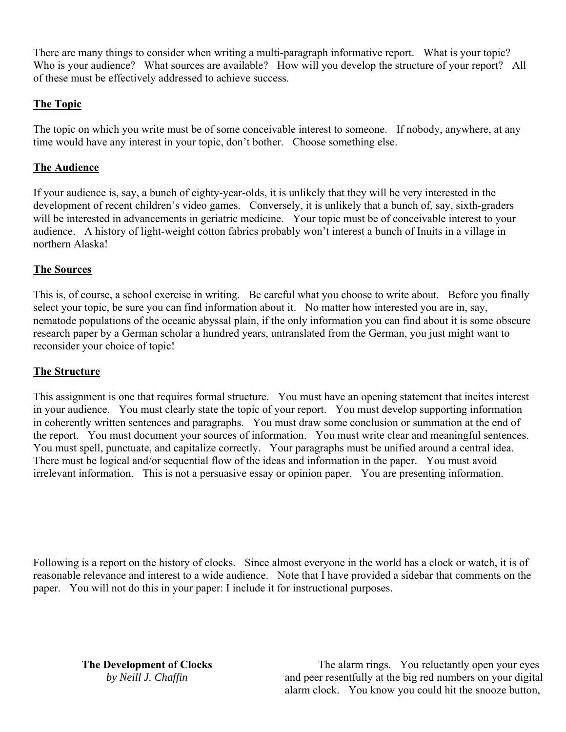There are many things to consider when writing a multi-paragraph informative report. What is your topic? Who is your audience? What sources are available? How will you develop the structure of your report? All of these must be effectively addressed to achieve success.

# **The Topic**

The topic on which you write must be of some conceivable interest to someone. If nobody, anywhere, at any time would have any interest in your topic, don't bother. Choose something else.

# **The Audience**

If your audience is, say, a bunch of eighty-year-olds, it is unlikely that they will be very interested in the development of recent children's video games. Conversely, it is unlikely that a bunch of, say, sixth-graders will be interested in advancements in geriatric medicine. Your topic must be of conceivable interest to your audience. A history of light-weight cotton fabrics probably won't interest a bunch of Inuits in a village in northern Alaska!

# **The Sources**

This is, of course, a school exercise in writing. Be careful what you choose to write about. Before you finally select your topic, be sure you can find information about it. No matter how interested you are in, say, nematode populations of the oceanic abyssal plain, if the only information you can find about it is some obscure research paper by a German scholar a hundred years, untranslated from the German, you just might want to reconsider your choice of topic!

## **The Structure**

This assignment is one that requires formal structure. You must have an opening statement that incites interest in your audience. You must clearly state the topic of your report. You must develop supporting information in coherently written sentences and paragraphs. You must draw some conclusion or summation at the end of the report. You must document your sources of information. You must write clear and meaningful sentences. You must spell, punctuate, and capitalize correctly. Your paragraphs must be unified around a central idea. There must be logical and/or sequential flow of the ideas and information in the paper. You must avoid irrelevant information. This is not a persuasive essay or opinion paper. You are presenting information.

Following is a report on the history of clocks. Since almost everyone in the world has a clock or watch, it is of reasonable relevance and interest to a wide audience. Note that I have provided a sidebar that comments on the paper. You will not do this in your paper: I include it for instructional purposes.

**The Development of Clocks** *by Neill J. Chaffin*

 The alarm rings. You reluctantly open your eyes and peer resentfully at the big red numbers on your digital alarm clock. You know you could hit the snooze button,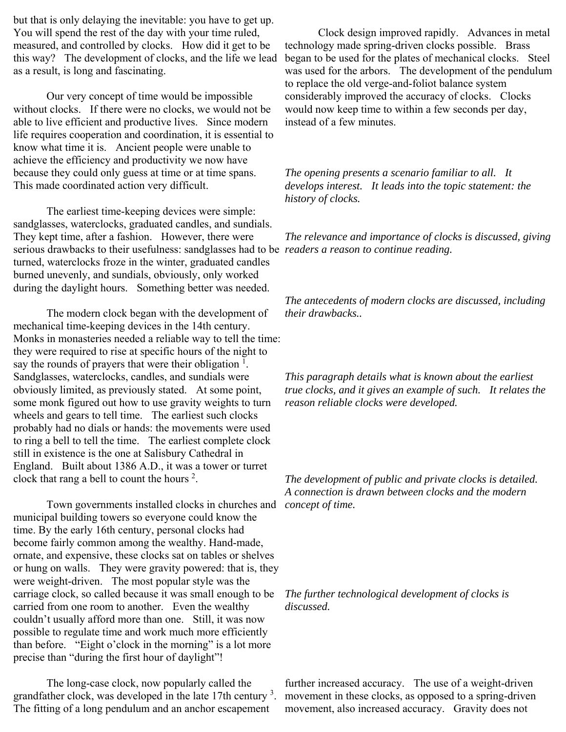but that is only delaying the inevitable: you have to get up. You will spend the rest of the day with your time ruled, measured, and controlled by clocks. How did it get to be this way? The development of clocks, and the life we lead as a result, is long and fascinating.

 Our very concept of time would be impossible without clocks. If there were no clocks, we would not be able to live efficient and productive lives. Since modern life requires cooperation and coordination, it is essential to know what time it is. Ancient people were unable to achieve the efficiency and productivity we now have because they could only guess at time or at time spans. This made coordinated action very difficult.

 The earliest time-keeping devices were simple: sandglasses, waterclocks, graduated candles, and sundials. They kept time, after a fashion. However, there were serious drawbacks to their usefulness: sandglasses had to be *readers a reason to continue reading.* turned, waterclocks froze in the winter, graduated candles burned unevenly, and sundials, obviously, only worked during the daylight hours. Something better was needed.

 The modern clock began with the development of mechanical time-keeping devices in the 14th century. Monks in monasteries needed a reliable way to tell the time: they were required to rise at specific hours of the night to say the rounds of prayers that were their obligation  $<sup>1</sup>$ .</sup> Sandglasses, waterclocks, candles, and sundials were obviously limited, as previously stated. At some point, some monk figured out how to use gravity weights to turn wheels and gears to tell time. The earliest such clocks probably had no dials or hands: the movements were used to ring a bell to tell the time. The earliest complete clock still in existence is the one at Salisbury Cathedral in England. Built about 1386 A.D., it was a tower or turret clock that rang a bell to count the hours  $2$ .

 Town governments installed clocks in churches and municipal building towers so everyone could know the time. By the early 16th century, personal clocks had become fairly common among the wealthy. Hand-made, ornate, and expensive, these clocks sat on tables or shelves or hung on walls. They were gravity powered: that is, they were weight-driven. The most popular style was the carriage clock, so called because it was small enough to be carried from one room to another. Even the wealthy couldn't usually afford more than one. Still, it was now possible to regulate time and work much more efficiently than before. "Eight o'clock in the morning" is a lot more precise than "during the first hour of daylight"!

 The long-case clock, now popularly called the grandfather clock, was developed in the late  $17$ th century<sup>3</sup>. The fitting of a long pendulum and an anchor escapement

 Clock design improved rapidly. Advances in metal technology made spring-driven clocks possible. Brass began to be used for the plates of mechanical clocks. Steel was used for the arbors. The development of the pendulum to replace the old verge-and-foliot balance system considerably improved the accuracy of clocks. Clocks would now keep time to within a few seconds per day, instead of a few minutes.

*The opening presents a scenario familiar to all. It develops interest. It leads into the topic statement: the history of clocks.*

*The relevance and importance of clocks is discussed, giving* 

*The antecedents of modern clocks are discussed, including their drawbacks..* 

*This paragraph details what is known about the earliest true clocks, and it gives an example of such. It relates the reason reliable clocks were developed.*

*The development of public and private clocks is detailed. A connection is drawn between clocks and the modern concept of time.*

*The further technological development of clocks is discussed.*

further increased accuracy. The use of a weight-driven movement in these clocks, as opposed to a spring-driven movement, also increased accuracy. Gravity does not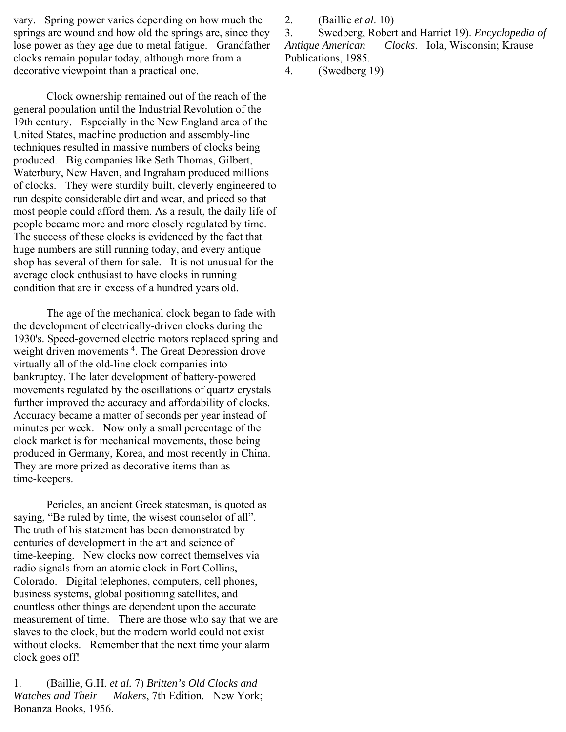vary. Spring power varies depending on how much the springs are wound and how old the springs are, since they lose power as they age due to metal fatigue. Grandfather clocks remain popular today, although more from a decorative viewpoint than a practical one.

 Clock ownership remained out of the reach of the general population until the Industrial Revolution of the 19th century. Especially in the New England area of the United States, machine production and assembly-line techniques resulted in massive numbers of clocks being produced. Big companies like Seth Thomas, Gilbert, Waterbury, New Haven, and Ingraham produced millions of clocks. They were sturdily built, cleverly engineered to run despite considerable dirt and wear, and priced so that most people could afford them. As a result, the daily life of people became more and more closely regulated by time. The success of these clocks is evidenced by the fact that huge numbers are still running today, and every antique shop has several of them for sale. It is not unusual for the average clock enthusiast to have clocks in running condition that are in excess of a hundred years old.

 The age of the mechanical clock began to fade with the development of electrically-driven clocks during the 1930's. Speed-governed electric motors replaced spring and weight driven movements<sup>4</sup>. The Great Depression drove virtually all of the old-line clock companies into bankruptcy. The later development of battery-powered movements regulated by the oscillations of quartz crystals further improved the accuracy and affordability of clocks. Accuracy became a matter of seconds per year instead of minutes per week. Now only a small percentage of the clock market is for mechanical movements, those being produced in Germany, Korea, and most recently in China. They are more prized as decorative items than as time-keepers.

 Pericles, an ancient Greek statesman, is quoted as saying, "Be ruled by time, the wisest counselor of all". The truth of his statement has been demonstrated by centuries of development in the art and science of time-keeping. New clocks now correct themselves via radio signals from an atomic clock in Fort Collins, Colorado. Digital telephones, computers, cell phones, business systems, global positioning satellites, and countless other things are dependent upon the accurate measurement of time. There are those who say that we are slaves to the clock, but the modern world could not exist without clocks. Remember that the next time your alarm clock goes off!

1. (Baillie, G.H. *et al.* 7) *Britten's Old Clocks and Watches and Their Makers*, 7th Edition. New York; Bonanza Books, 1956.

2. (Baillie *et al*. 10)

3. Swedberg, Robert and Harriet 19). *Encyclopedia of Antique American Clocks*. Iola, Wisconsin; Krause Publications, 1985.

4. (Swedberg 19)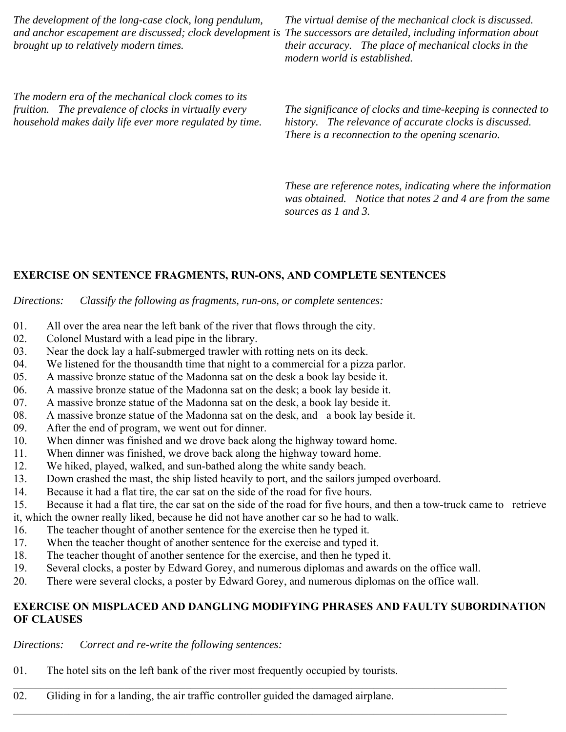*The development of the long-case clock, long pendulum, and anchor escapement are discussed; clock development is The successors are detailed, including information about brought up to relatively modern times.*

*The virtual demise of the mechanical clock is discussed. their accuracy. The place of mechanical clocks in the modern world is established.*

*The modern era of the mechanical clock comes to its fruition. The prevalence of clocks in virtually every household makes daily life ever more regulated by time.*

*The significance of clocks and time-keeping is connected to history. The relevance of accurate clocks is discussed. There is a reconnection to the opening scenario.*

*These are reference notes, indicating where the information was obtained. Notice that notes 2 and 4 are from the same sources as 1 and 3.*

#### **EXERCISE ON SENTENCE FRAGMENTS, RUN-ONS, AND COMPLETE SENTENCES**

*Directions: Classify the following as fragments, run-ons, or complete sentences:*

- 01. All over the area near the left bank of the river that flows through the city.
- 02. Colonel Mustard with a lead pipe in the library.
- 03. Near the dock lay a half-submerged trawler with rotting nets on its deck.
- 04. We listened for the thousandth time that night to a commercial for a pizza parlor.
- 05. A massive bronze statue of the Madonna sat on the desk a book lay beside it.
- 06. A massive bronze statue of the Madonna sat on the desk; a book lay beside it.
- 07. A massive bronze statue of the Madonna sat on the desk, a book lay beside it.
- 08. A massive bronze statue of the Madonna sat on the desk, and a book lay beside it.
- 09. After the end of program, we went out for dinner.
- 10. When dinner was finished and we drove back along the highway toward home.
- 11. When dinner was finished, we drove back along the highway toward home.
- 12. We hiked, played, walked, and sun-bathed along the white sandy beach.
- 13. Down crashed the mast, the ship listed heavily to port, and the sailors jumped overboard.
- 14. Because it had a flat tire, the car sat on the side of the road for five hours.
- 15. Because it had a flat tire, the car sat on the side of the road for five hours, and then a tow-truck came to retrieve it, which the owner really liked, because he did not have another car so he had to walk.
- 16. The teacher thought of another sentence for the exercise then he typed it.
- 17. When the teacher thought of another sentence for the exercise and typed it.
- 18. The teacher thought of another sentence for the exercise, and then he typed it.
- 19. Several clocks, a poster by Edward Gorey, and numerous diplomas and awards on the office wall.
- 20. There were several clocks, a poster by Edward Gorey, and numerous diplomas on the office wall.

## **EXERCISE ON MISPLACED AND DANGLING MODIFYING PHRASES AND FAULTY SUBORDINATION OF CLAUSES**

 $\_$  , and the contribution of the contribution of the contribution of the contribution of the contribution of  $\mathcal{L}_\text{max}$ 

*Directions: Correct and re-write the following sentences:*

- 01. The hotel sits on the left bank of the river most frequently occupied by tourists.
- 02. Gliding in for a landing, the air traffic controller guided the damaged airplane.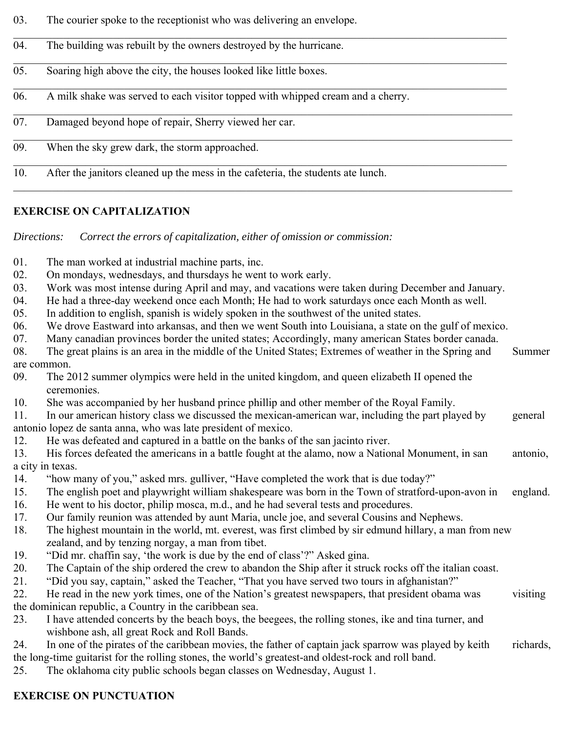- 03. The courier spoke to the receptionist who was delivering an envelope.
- 04. The building was rebuilt by the owners destroyed by the hurricane.
- 05. Soaring high above the city, the houses looked like little boxes.
- 06. A milk shake was served to each visitor topped with whipped cream and a cherry.
- 07. Damaged beyond hope of repair, Sherry viewed her car.
- 09. When the sky grew dark, the storm approached.
- 10. After the janitors cleaned up the mess in the cafeteria, the students ate lunch.

# **EXERCISE ON CAPITALIZATION**

*Directions: Correct the errors of capitalization, either of omission or commission:*

- 01. The man worked at industrial machine parts, inc.
- 02. On mondays, wednesdays, and thursdays he went to work early.
- 03. Work was most intense during April and may, and vacations were taken during December and January.
- 04. He had a three-day weekend once each Month; He had to work saturdays once each Month as well.
- 05. In addition to english, spanish is widely spoken in the southwest of the united states.
- 06. We drove Eastward into arkansas, and then we went South into Louisiana, a state on the gulf of mexico.
- 07. Many canadian provinces border the united states; Accordingly, many american States border canada.
- 08. The great plains is an area in the middle of the United States; Extremes of weather in the Spring and Summer are common.
- 09. The 2012 summer olympics were held in the united kingdom, and queen elizabeth II opened the ceremonies.
- 10. She was accompanied by her husband prince phillip and other member of the Royal Family.
- 11. In our american history class we discussed the mexican-american war, including the part played by general antonio lopez de santa anna, who was late president of mexico.
- 12. He was defeated and captured in a battle on the banks of the san jacinto river.
- 13. His forces defeated the americans in a battle fought at the alamo, now a National Monument, in san antonio, a city in texas.
- 14. "how many of you," asked mrs. gulliver, "Have completed the work that is due today?"
- 15. The english poet and playwright william shakespeare was born in the Town of stratford-upon-avon in england.
- 16. He went to his doctor, philip mosca, m.d., and he had several tests and procedures.
- 17. Our family reunion was attended by aunt Maria, uncle joe, and several Cousins and Nephews.
- 18. The highest mountain in the world, mt. everest, was first climbed by sir edmund hillary, a man from new zealand, and by tenzing norgay, a man from tibet.
- 19. "Did mr. chaffin say, 'the work is due by the end of class'?" Asked gina.
- 20. The Captain of the ship ordered the crew to abandon the Ship after it struck rocks off the italian coast.
- 21. "Did you say, captain," asked the Teacher, "That you have served two tours in afghanistan?"
- 22. He read in the new york times, one of the Nation's greatest newspapers, that president obama was visiting the dominican republic, a Country in the caribbean sea.
- 23. I have attended concerts by the beach boys, the beegees, the rolling stones, ike and tina turner, and wishbone ash, all great Rock and Roll Bands.
- 24. In one of the pirates of the caribbean movies, the father of captain jack sparrow was played by keith richards, the long-time guitarist for the rolling stones, the world's greatest-and oldest-rock and roll band.
- 25. The oklahoma city public schools began classes on Wednesday, August 1.

# **EXERCISE ON PUNCTUATION**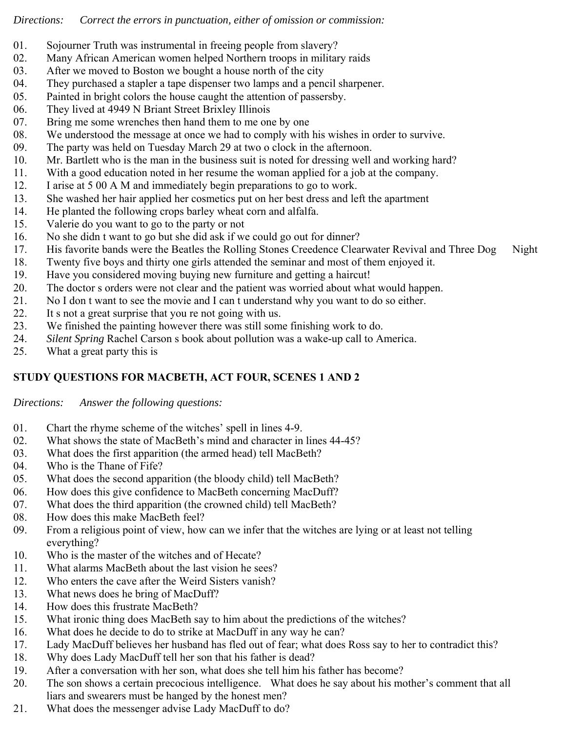## *Directions: Correct the errors in punctuation, either of omission or commission:*

- 01. Sojourner Truth was instrumental in freeing people from slavery?
- 02. Many African American women helped Northern troops in military raids
- 03. After we moved to Boston we bought a house north of the city
- 04. They purchased a stapler a tape dispenser two lamps and a pencil sharpener.
- 05. Painted in bright colors the house caught the attention of passersby.
- 06. They lived at 4949 N Briant Street Brixley Illinois
- 07. Bring me some wrenches then hand them to me one by one
- 08. We understood the message at once we had to comply with his wishes in order to survive.
- 09. The party was held on Tuesday March 29 at two o clock in the afternoon.
- 10. Mr. Bartlett who is the man in the business suit is noted for dressing well and working hard?
- 11. With a good education noted in her resume the woman applied for a job at the company.
- 12. I arise at 5 00 A M and immediately begin preparations to go to work.
- 13. She washed her hair applied her cosmetics put on her best dress and left the apartment
- 14. He planted the following crops barley wheat corn and alfalfa.
- 15. Valerie do you want to go to the party or not
- 16. No she didn t want to go but she did ask if we could go out for dinner?
- 17. His favorite bands were the Beatles the Rolling Stones Creedence Clearwater Revival and Three Dog Night
- 18. Twenty five boys and thirty one girls attended the seminar and most of them enjoyed it.
- 19. Have you considered moving buying new furniture and getting a haircut!
- 20. The doctor s orders were not clear and the patient was worried about what would happen.
- 21. No I don t want to see the movie and I can t understand why you want to do so either.
- 22. It s not a great surprise that you re not going with us.
- 23. We finished the painting however there was still some finishing work to do.
- 24. *Silent Spring* Rachel Carson s book about pollution was a wake-up call to America.
- 25. What a great party this is

# **STUDY QUESTIONS FOR MACBETH, ACT FOUR, SCENES 1 AND 2**

*Directions: Answer the following questions:*

- 01. Chart the rhyme scheme of the witches' spell in lines 4-9.
- 02. What shows the state of MacBeth's mind and character in lines 44-45?
- 03. What does the first apparition (the armed head) tell MacBeth?
- 04. Who is the Thane of Fife?
- 05. What does the second apparition (the bloody child) tell MacBeth?
- 06. How does this give confidence to MacBeth concerning MacDuff?
- 07. What does the third apparition (the crowned child) tell MacBeth?
- 08. How does this make MacBeth feel?
- 09. From a religious point of view, how can we infer that the witches are lying or at least not telling everything?
- 10. Who is the master of the witches and of Hecate?
- 11. What alarms MacBeth about the last vision he sees?
- 12. Who enters the cave after the Weird Sisters vanish?
- 13. What news does he bring of MacDuff?
- 14. How does this frustrate MacBeth?
- 15. What ironic thing does MacBeth say to him about the predictions of the witches?
- 16. What does he decide to do to strike at MacDuff in any way he can?
- 17. Lady MacDuff believes her husband has fled out of fear; what does Ross say to her to contradict this?
- 18. Why does Lady MacDuff tell her son that his father is dead?
- 19. After a conversation with her son, what does she tell him his father has become?
- 20. The son shows a certain precocious intelligence. What does he say about his mother's comment that all liars and swearers must be hanged by the honest men?
- 21. What does the messenger advise Lady MacDuff to do?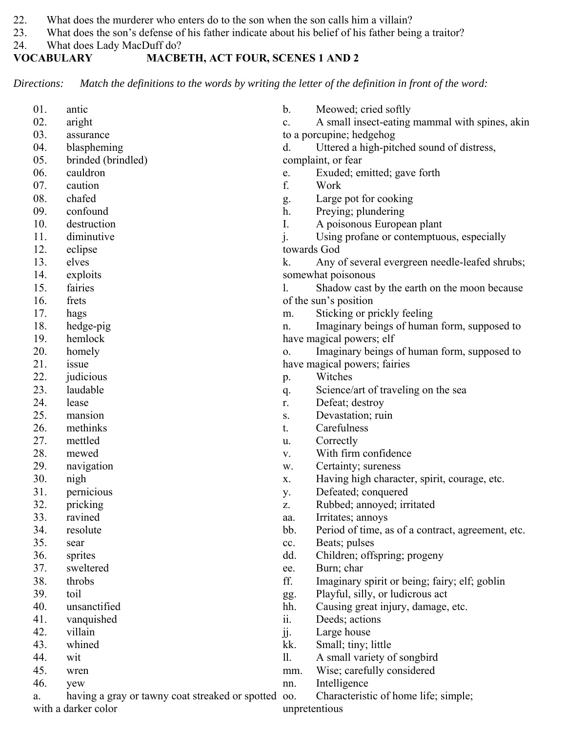- 22. What does the murderer who enters do to the son when the son calls him a villain?
- 23. What does the son's defense of his father indicate about his belief of his father being a traitor?
- 24. What does Lady MacDuff do?<br> **VOCABULARY** MACBE

# **MACBETH, ACT FOUR, SCENES 1 AND 2**

*Directions: Match the definitions to the words by writing the letter of the definition in front of the word:*

| 01. | antic                                           | $\mathbf b$ .             | Meowed; cried softly                              |
|-----|-------------------------------------------------|---------------------------|---------------------------------------------------|
| 02. | aright                                          | c.                        | A small insect-eating mammal with spines, akin    |
| 03. | assurance                                       | to a porcupine; hedgehog  |                                                   |
| 04. | blaspheming                                     | d.                        | Uttered a high-pitched sound of distress,         |
| 05. | brinded (brindled)                              |                           | complaint, or fear                                |
| 06. | cauldron                                        | e.                        | Exuded; emitted; gave forth                       |
| 07. | caution                                         | f.                        | Work                                              |
| 08. | chafed                                          | g.                        | Large pot for cooking                             |
| 09. | confound                                        | h.                        | Preying; plundering                               |
| 10. | destruction                                     | I.                        | A poisonous European plant                        |
| 11. | diminutive                                      | $\mathbf{j}$ .            | Using profane or contemptuous, especially         |
| 12. | eclipse                                         |                           | towards God                                       |
| 13. | elves                                           | k.                        | Any of several evergreen needle-leafed shrubs;    |
| 14. | exploits                                        |                           | somewhat poisonous                                |
| 15. | fairies                                         | 1.                        | Shadow cast by the earth on the moon because      |
| 16. | frets                                           | of the sun's position     |                                                   |
| 17. | hags                                            | m.                        | Sticking or prickly feeling                       |
| 18. | hedge-pig                                       | n.                        | Imaginary beings of human form, supposed to       |
| 19. | hemlock                                         |                           | have magical powers; elf                          |
| 20. | homely                                          | 0.                        | Imaginary beings of human form, supposed to       |
| 21. | issue                                           |                           | have magical powers; fairies                      |
| 22. | judicious                                       | p.                        | Witches                                           |
| 23. | laudable                                        | q.                        | Science/art of traveling on the sea               |
| 24. | lease                                           | r.                        | Defeat; destroy                                   |
| 25. | mansion                                         | ${\bf S}$ .               | Devastation; ruin                                 |
| 26. | methinks                                        | t.                        | Carefulness                                       |
| 27. | mettled                                         | u.                        | Correctly                                         |
| 28. | mewed                                           | V.                        | With firm confidence                              |
| 29. | navigation                                      | w.                        | Certainty; sureness                               |
| 30. | nigh                                            | Х.                        | Having high character, spirit, courage, etc.      |
| 31. | pernicious                                      | у.                        | Defeated; conquered                               |
| 32. | pricking                                        | Z.                        | Rubbed; annoyed; irritated                        |
| 33. | ravined                                         | aa.                       | Irritates; annoys                                 |
| 34. | resolute                                        | bb.                       | Period of time, as of a contract, agreement, etc. |
| 35. | sear                                            | cc.                       | Beats; pulses                                     |
| 36. | sprites                                         | dd.                       | Children; offspring; progeny                      |
| 37. | sweltered                                       | ee.                       | Burn; char                                        |
| 38. | throbs                                          | ff.                       | Imaginary spirit or being; fairy; elf; goblin     |
| 39. | toil                                            | gg.                       | Playful, silly, or ludicrous act                  |
| 40. | unsanctified                                    | hh.                       | Causing great injury, damage, etc.                |
| 41. | vanquished                                      | ii.                       | Deeds; actions                                    |
| 42. | villain                                         | $\overline{\mathbf{j}}$ . | Large house                                       |
| 43. | whined                                          | kk.                       | Small; tiny; little                               |
| 44. | wit                                             | 11.                       | A small variety of songbird                       |
| 45. | wren                                            | mm.                       | Wise; carefully considered                        |
| 46. | yew                                             | nn.                       | Intelligence                                      |
| a.  | having a gray or tawny coat streaked or spotted | 00.                       | Characteristic of home life; simple;              |
|     | with a darker color                             | unpretentious             |                                                   |